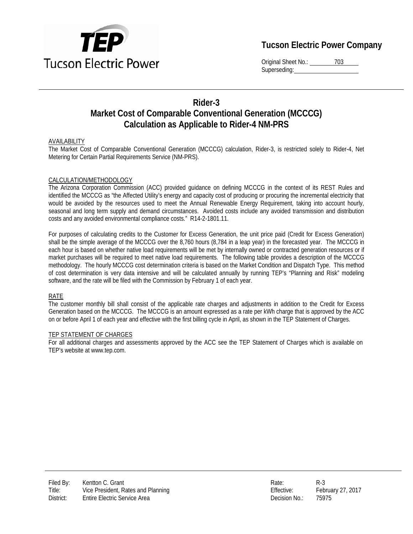

# **Tucson Electric Power Company**

Original Sheet No.: 703 Superseding:

## **Rider-3 Market Cost of Comparable Conventional Generation (MCCCG) Calculation as Applicable to Rider-4 NM-PRS**

### AVAILABILITY

The Market Cost of Comparable Conventional Generation (MCCCG) calculation, Rider-3, is restricted solely to Rider-4, Net Metering for Certain Partial Requirements Service (NM-PRS).

#### CALCULATION/METHODOLOGY

The Arizona Corporation Commission (ACC) provided guidance on defining MCCCG in the context of its REST Rules and identified the MCCCG as "the Affected Utility's energy and capacity cost of producing or procuring the incremental electricity that would be avoided by the resources used to meet the Annual Renewable Energy Requirement, taking into account hourly, seasonal and long term supply and demand circumstances. Avoided costs include any avoided transmission and distribution costs and any avoided environmental compliance costs." R14-2-1801.11.

For purposes of calculating credits to the Customer for Excess Generation, the unit price paid (Credit for Excess Generation) shall be the simple average of the MCCCG over the 8,760 hours (8,784 in a leap year) in the forecasted year. The MCCCG in each hour is based on whether native load requirements will be met by internally owned or contracted generation resources or if market purchases will be required to meet native load requirements. The following table provides a description of the MCCCG methodology. The hourly MCCCG cost determination criteria is based on the Market Condition and Dispatch Type. This method of cost determination is very data intensive and will be calculated annually by running TEP's "Planning and Risk" modeling software, and the rate will be filed with the Commission by February 1 of each year.

#### RATE

The customer monthly bill shall consist of the applicable rate charges and adjustments in addition to the Credit for Excess Generation based on the MCCCG. The MCCCG is an amount expressed as a rate per kWh charge that is approved by the ACC on or before April 1 of each year and effective with the first billing cycle in April, as shown in the TEP Statement of Charges.

#### TEP STATEMENT OF CHARGES

For all additional charges and assessments approved by the ACC see the TEP Statement of Charges which is available on TEP's website at www.tep.com.